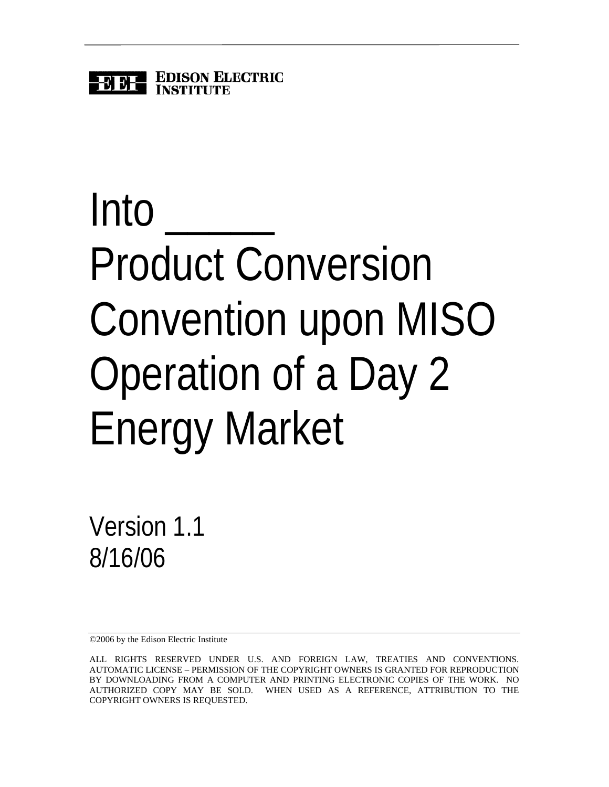

# Into Product Conversion Convention upon MISO Operation of a Day 2 Energy Market

Version 1.1 8/16/06

©2006 by the Edison Electric Institute

ALL RIGHTS RESERVED UNDER U.S. AND FOREIGN LAW, TREATIES AND CONVENTIONS. AUTOMATIC LICENSE – PERMISSION OF THE COPYRIGHT OWNERS IS GRANTED FOR REPRODUCTION BY DOWNLOADING FROM A COMPUTER AND PRINTING ELECTRONIC COPIES OF THE WORK. NO AUTHORIZED COPY MAY BE SOLD. WHEN USED AS A REFERENCE, ATTRIBUTION TO THE COPYRIGHT OWNERS IS REQUESTED.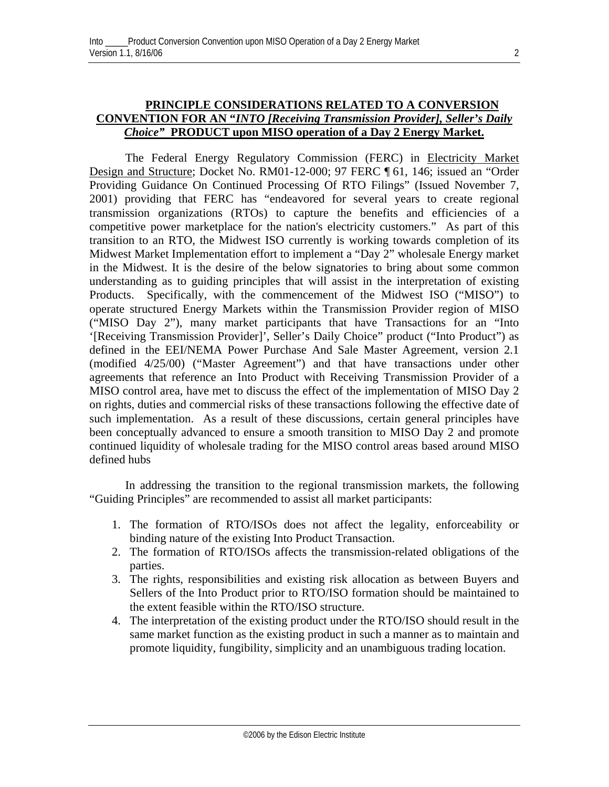# **PRINCIPLE CONSIDERATIONS RELATED TO A CONVERSION CONVENTION FOR AN "***INTO [Receiving Transmission Provider], Seller's Daily Choice"* **PRODUCT upon MISO operation of a Day 2 Energy Market.**

The Federal Energy Regulatory Commission (FERC) in Electricity Market Design and Structure; Docket No. RM01-12-000; 97 FERC ¶ 61, 146; issued an "Order Providing Guidance On Continued Processing Of RTO Filings" (Issued November 7, 2001) providing that FERC has "endeavored for several years to create regional transmission organizations (RTOs) to capture the benefits and efficiencies of a competitive power marketplace for the nation's electricity customers." As part of this transition to an RTO, the Midwest ISO currently is working towards completion of its Midwest Market Implementation effort to implement a "Day 2" wholesale Energy market in the Midwest. It is the desire of the below signatories to bring about some common understanding as to guiding principles that will assist in the interpretation of existing Products. Specifically, with the commencement of the Midwest ISO ("MISO") to operate structured Energy Markets within the Transmission Provider region of MISO ("MISO Day 2"), many market participants that have Transactions for an "Into '[Receiving Transmission Provider]', Seller's Daily Choice" product ("Into Product") as defined in the EEI/NEMA Power Purchase And Sale Master Agreement, version 2.1 (modified 4/25/00) ("Master Agreement") and that have transactions under other agreements that reference an Into Product with Receiving Transmission Provider of a MISO control area, have met to discuss the effect of the implementation of MISO Day 2 on rights, duties and commercial risks of these transactions following the effective date of such implementation. As a result of these discussions, certain general principles have been conceptually advanced to ensure a smooth transition to MISO Day 2 and promote continued liquidity of wholesale trading for the MISO control areas based around MISO defined hubs

In addressing the transition to the regional transmission markets, the following "Guiding Principles" are recommended to assist all market participants:

- 1. The formation of RTO/ISOs does not affect the legality, enforceability or binding nature of the existing Into Product Transaction.
- 2. The formation of RTO/ISOs affects the transmission-related obligations of the parties.
- 3. The rights, responsibilities and existing risk allocation as between Buyers and Sellers of the Into Product prior to RTO/ISO formation should be maintained to the extent feasible within the RTO/ISO structure.
- 4. The interpretation of the existing product under the RTO/ISO should result in the same market function as the existing product in such a manner as to maintain and promote liquidity, fungibility, simplicity and an unambiguous trading location.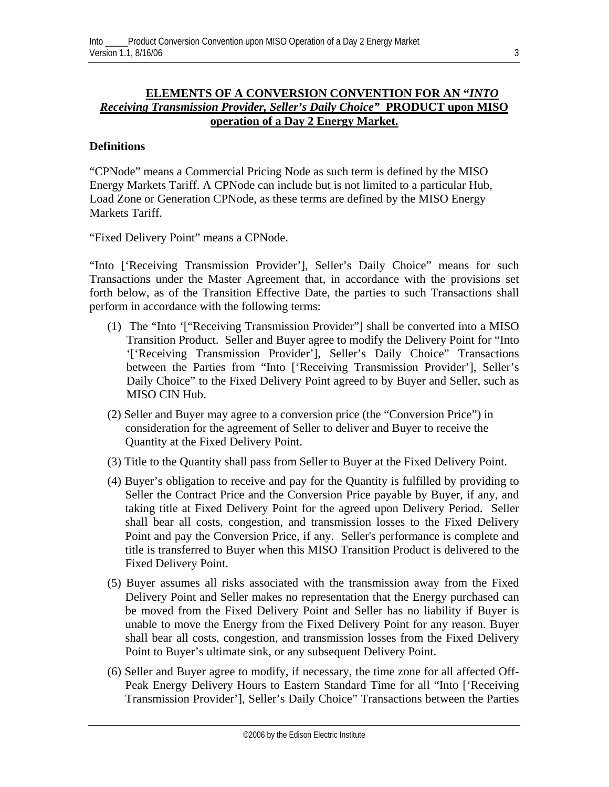# **ELEMENTS OF A CONVERSION CONVENTION FOR AN "***INTO Receiving Transmission Provider, Seller's Daily Choice"* **PRODUCT upon MISO operation of a Day 2 Energy Market.**

## **Definitions**

"CPNode" means a Commercial Pricing Node as such term is defined by the MISO Energy Markets Tariff. A CPNode can include but is not limited to a particular Hub, Load Zone or Generation CPNode, as these terms are defined by the MISO Energy Markets Tariff.

"Fixed Delivery Point" means a CPNode.

"Into ['Receiving Transmission Provider'], Seller's Daily Choice" means for such Transactions under the Master Agreement that, in accordance with the provisions set forth below, as of the Transition Effective Date, the parties to such Transactions shall perform in accordance with the following terms:

- (1) The "Into '["Receiving Transmission Provider"] shall be converted into a MISO Transition Product. Seller and Buyer agree to modify the Delivery Point for "Into '['Receiving Transmission Provider'], Seller's Daily Choice" Transactions between the Parties from "Into ['Receiving Transmission Provider'], Seller's Daily Choice" to the Fixed Delivery Point agreed to by Buyer and Seller, such as MISO CIN Hub.
- (2) Seller and Buyer may agree to a conversion price (the "Conversion Price") in consideration for the agreement of Seller to deliver and Buyer to receive the Quantity at the Fixed Delivery Point.
- (3) Title to the Quantity shall pass from Seller to Buyer at the Fixed Delivery Point.
- (4) Buyer's obligation to receive and pay for the Quantity is fulfilled by providing to Seller the Contract Price and the Conversion Price payable by Buyer, if any, and taking title at Fixed Delivery Point for the agreed upon Delivery Period. Seller shall bear all costs, congestion, and transmission losses to the Fixed Delivery Point and pay the Conversion Price, if any. Seller's performance is complete and title is transferred to Buyer when this MISO Transition Product is delivered to the Fixed Delivery Point.
- (5) Buyer assumes all risks associated with the transmission away from the Fixed Delivery Point and Seller makes no representation that the Energy purchased can be moved from the Fixed Delivery Point and Seller has no liability if Buyer is unable to move the Energy from the Fixed Delivery Point for any reason. Buyer shall bear all costs, congestion, and transmission losses from the Fixed Delivery Point to Buyer's ultimate sink, or any subsequent Delivery Point.
- (6) Seller and Buyer agree to modify, if necessary, the time zone for all affected Off-Peak Energy Delivery Hours to Eastern Standard Time for all "Into ['Receiving Transmission Provider'], Seller's Daily Choice" Transactions between the Parties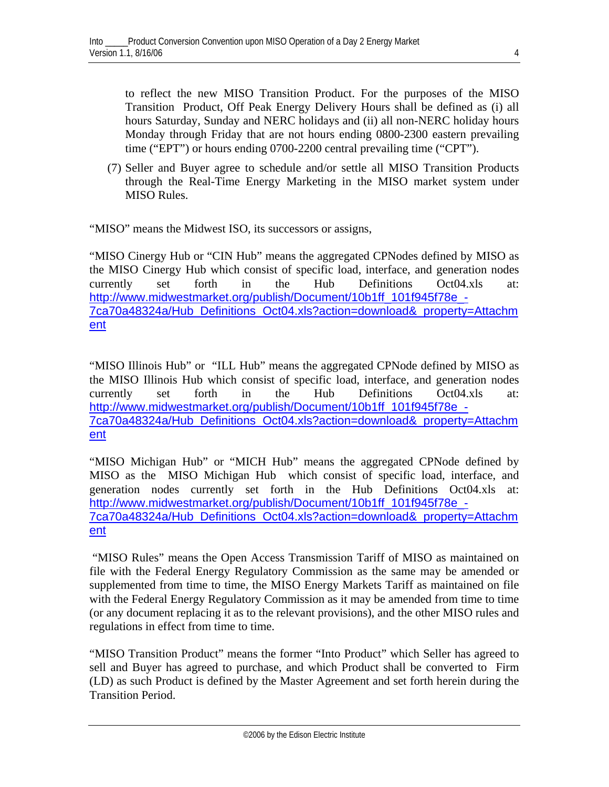to reflect the new MISO Transition Product. For the purposes of the MISO Transition Product, Off Peak Energy Delivery Hours shall be defined as (i) all hours Saturday, Sunday and NERC holidays and (ii) all non-NERC holiday hours Monday through Friday that are not hours ending 0800-2300 eastern prevailing time ("EPT") or hours ending 0700-2200 central prevailing time ("CPT").

(7) Seller and Buyer agree to schedule and/or settle all MISO Transition Products through the Real-Time Energy Marketing in the MISO market system under MISO Rules.

"MISO" means the Midwest ISO, its successors or assigns,

"MISO Cinergy Hub or "CIN Hub" means the aggregated CPNodes defined by MISO as the MISO Cinergy Hub which consist of specific load, interface, and generation nodes currently set forth in the Hub Definitions Oct04.xls at: [http://www.midwestmarket.org/publish/Document/10b1ff\\_101f945f78e\\_-](http://www.midwestmarket.org/publish/Document/10b1ff_101f945f78e_-7ca70a48324a/Hub_Definitions_Oct04.xls?action=download&_property=Attachment) [7ca70a48324a/Hub\\_Definitions\\_Oct04.xls?action=download&\\_property=Attachm](http://www.midwestmarket.org/publish/Document/10b1ff_101f945f78e_-7ca70a48324a/Hub_Definitions_Oct04.xls?action=download&_property=Attachment) [ent](http://www.midwestmarket.org/publish/Document/10b1ff_101f945f78e_-7ca70a48324a/Hub_Definitions_Oct04.xls?action=download&_property=Attachment)

"MISO Illinois Hub" or "ILL Hub" means the aggregated CPNode defined by MISO as the MISO Illinois Hub which consist of specific load, interface, and generation nodes currently set forth in the Hub Definitions Oct04.xls at: [http://www.midwestmarket.org/publish/Document/10b1ff\\_101f945f78e\\_-](http://www.midwestmarket.org/publish/Document/10b1ff_101f945f78e_-7ca70a48324a/Hub_Definitions_Oct04.xls?action=download&_property=Attachment) [7ca70a48324a/Hub\\_Definitions\\_Oct04.xls?action=download&\\_property=Attachm](http://www.midwestmarket.org/publish/Document/10b1ff_101f945f78e_-7ca70a48324a/Hub_Definitions_Oct04.xls?action=download&_property=Attachment) [ent](http://www.midwestmarket.org/publish/Document/10b1ff_101f945f78e_-7ca70a48324a/Hub_Definitions_Oct04.xls?action=download&_property=Attachment)

"MISO Michigan Hub" or "MICH Hub" means the aggregated CPNode defined by MISO as the MISO Michigan Hub which consist of specific load, interface, and generation nodes currently set forth in the Hub Definitions Oct04.xls at: http://www.midwestmarket.org/publish/Document/10b1ff\_101f945f78e -[7ca70a48324a/Hub\\_Definitions\\_Oct04.xls?action=download&\\_property=Attachm](http://www.midwestmarket.org/publish/Document/10b1ff_101f945f78e_-7ca70a48324a/Hub_Definitions_Oct04.xls?action=download&_property=Attachment) [ent](http://www.midwestmarket.org/publish/Document/10b1ff_101f945f78e_-7ca70a48324a/Hub_Definitions_Oct04.xls?action=download&_property=Attachment)

 "MISO Rules" means the Open Access Transmission Tariff of MISO as maintained on file with the Federal Energy Regulatory Commission as the same may be amended or supplemented from time to time, the MISO Energy Markets Tariff as maintained on file with the Federal Energy Regulatory Commission as it may be amended from time to time (or any document replacing it as to the relevant provisions), and the other MISO rules and regulations in effect from time to time.

"MISO Transition Product" means the former "Into Product" which Seller has agreed to sell and Buyer has agreed to purchase, and which Product shall be converted to Firm (LD) as such Product is defined by the Master Agreement and set forth herein during the Transition Period.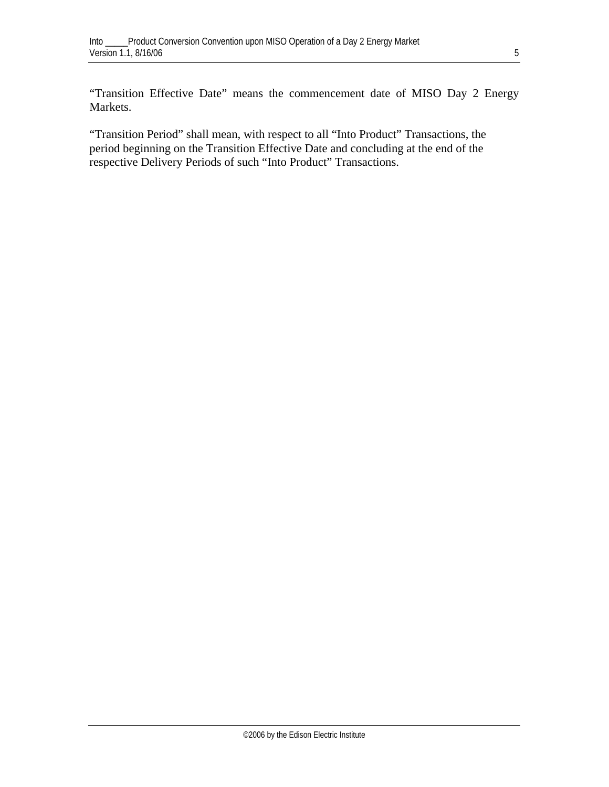"Transition Effective Date" means the commencement date of MISO Day 2 Energy Markets.

"Transition Period" shall mean, with respect to all "Into Product" Transactions, the period beginning on the Transition Effective Date and concluding at the end of the respective Delivery Periods of such "Into Product" Transactions.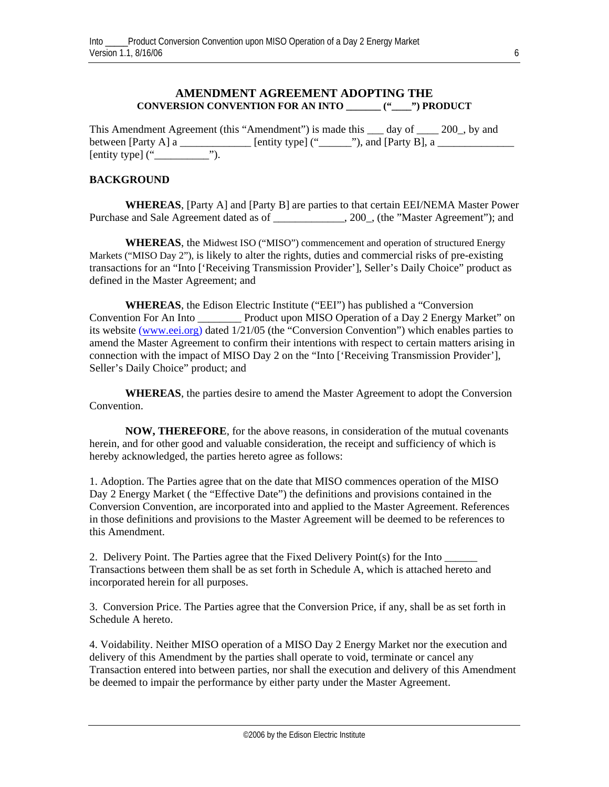### **AMENDMENT AGREEMENT ADOPTING THE CONVERSION CONVENTION FOR AN INTO \_\_\_\_\_\_\_ ("\_\_\_\_") PRODUCT**

This Amendment Agreement (this "Amendment") is made this \_\_\_ day of \_\_\_\_ 200\_, by and between [Party A] a \_\_\_\_\_\_\_\_\_\_\_\_\_ [entity type] ("\_\_\_\_\_\_"), and [Party B], a \_\_\_\_\_\_\_\_\_\_\_\_\_\_ [entity type]  $($ "

### **BACKGROUND**

**WHEREAS**, [Party A] and [Party B] are parties to that certain EEI/NEMA Master Power Purchase and Sale Agreement dated as of \_\_\_\_\_\_\_\_\_\_\_\_, 200\_, (the "Master Agreement"); and

**WHEREAS**, the Midwest ISO ("MISO") commencement and operation of structured Energy Markets ("MISO Day 2"), is likely to alter the rights, duties and commercial risks of pre-existing transactions for an "Into ['Receiving Transmission Provider'], Seller's Daily Choice" product as defined in the Master Agreement; and

**WHEREAS**, the Edison Electric Institute ("EEI") has published a "Conversion Convention For An Into **Product upon MISO Operation of a Day 2 Energy Market**" on its website [\(www.eei.org\)](http://www.eei.org/) dated 1/21/05 (the "Conversion Convention") which enables parties to amend the Master Agreement to confirm their intentions with respect to certain matters arising in connection with the impact of MISO Day 2 on the "Into ['Receiving Transmission Provider'], Seller's Daily Choice" product; and

**WHEREAS**, the parties desire to amend the Master Agreement to adopt the Conversion Convention.

**NOW, THEREFORE**, for the above reasons, in consideration of the mutual covenants herein, and for other good and valuable consideration, the receipt and sufficiency of which is hereby acknowledged, the parties hereto agree as follows:

1. Adoption. The Parties agree that on the date that MISO commences operation of the MISO Day 2 Energy Market ( the "Effective Date") the definitions and provisions contained in the Conversion Convention, are incorporated into and applied to the Master Agreement. References in those definitions and provisions to the Master Agreement will be deemed to be references to this Amendment.

2. Delivery Point. The Parties agree that the Fixed Delivery Point(s) for the Into \_\_\_\_\_\_ Transactions between them shall be as set forth in Schedule A, which is attached hereto and incorporated herein for all purposes.

3. Conversion Price. The Parties agree that the Conversion Price, if any, shall be as set forth in Schedule A hereto.

4. Voidability. Neither MISO operation of a MISO Day 2 Energy Market nor the execution and delivery of this Amendment by the parties shall operate to void, terminate or cancel any Transaction entered into between parties, nor shall the execution and delivery of this Amendment be deemed to impair the performance by either party under the Master Agreement.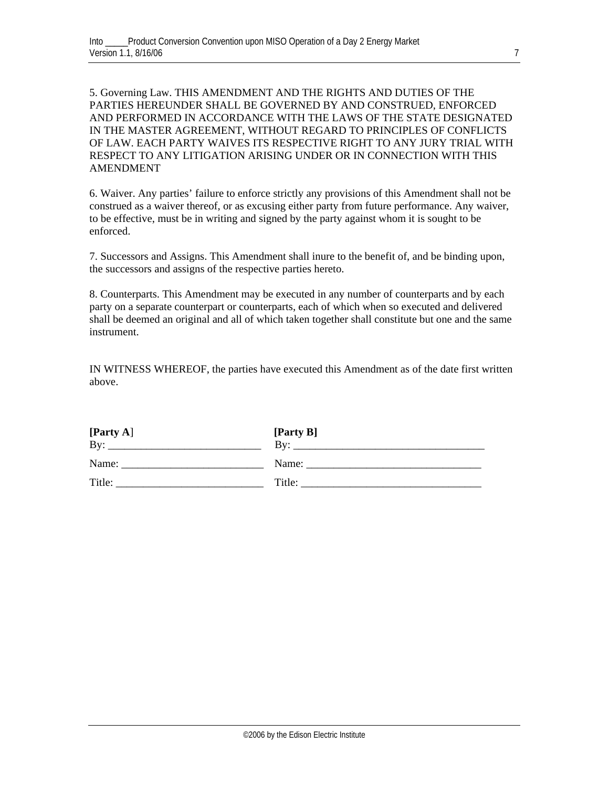5. Governing Law. THIS AMENDMENT AND THE RIGHTS AND DUTIES OF THE PARTIES HEREUNDER SHALL BE GOVERNED BY AND CONSTRUED, ENFORCED AND PERFORMED IN ACCORDANCE WITH THE LAWS OF THE STATE DESIGNATED IN THE MASTER AGREEMENT, WITHOUT REGARD TO PRINCIPLES OF CONFLICTS OF LAW. EACH PARTY WAIVES ITS RESPECTIVE RIGHT TO ANY JURY TRIAL WITH RESPECT TO ANY LITIGATION ARISING UNDER OR IN CONNECTION WITH THIS AMENDMENT

6. Waiver. Any parties' failure to enforce strictly any provisions of this Amendment shall not be construed as a waiver thereof, or as excusing either party from future performance. Any waiver, to be effective, must be in writing and signed by the party against whom it is sought to be enforced.

7. Successors and Assigns. This Amendment shall inure to the benefit of, and be binding upon, the successors and assigns of the respective parties hereto.

8. Counterparts. This Amendment may be executed in any number of counterparts and by each party on a separate counterpart or counterparts, each of which when so executed and delivered shall be deemed an original and all of which taken together shall constitute but one and the same instrument.

IN WITNESS WHEREOF, the parties have executed this Amendment as of the date first written above.

| [Party A] | [Party B] |
|-----------|-----------|
| By:       | Bv:       |
| Name:     | Name:     |
| Title:    | Title:    |